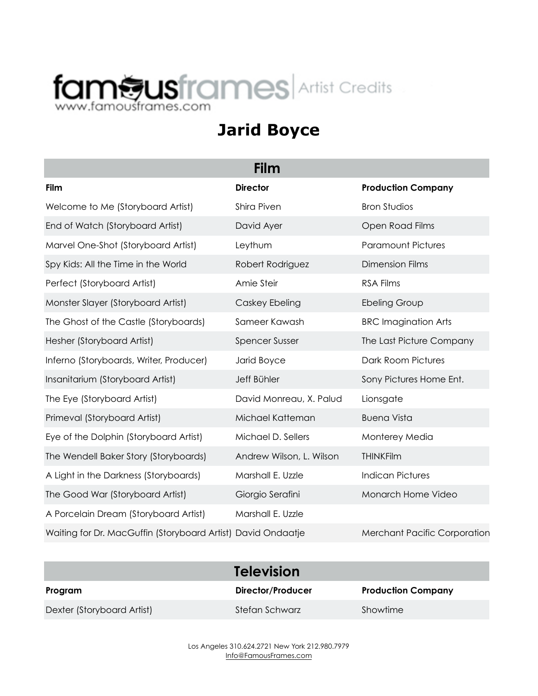## faméusframes.com

## **Jarid Boyce**

| Film                                                         |                          |                                     |  |  |
|--------------------------------------------------------------|--------------------------|-------------------------------------|--|--|
| Film                                                         | <b>Director</b>          | <b>Production Company</b>           |  |  |
| Welcome to Me (Storyboard Artist)                            | Shira Piven              | <b>Bron Studios</b>                 |  |  |
| End of Watch (Storyboard Artist)                             | David Ayer               | Open Road Films                     |  |  |
| Marvel One-Shot (Storyboard Artist)                          | Leythum                  | <b>Paramount Pictures</b>           |  |  |
| Spy Kids: All the Time in the World                          | Robert Rodriguez         | <b>Dimension Films</b>              |  |  |
| Perfect (Storyboard Artist)                                  | Amie Steir               | <b>RSA Films</b>                    |  |  |
| Monster Slayer (Storyboard Artist)                           | Caskey Ebeling           | <b>Ebeling Group</b>                |  |  |
| The Ghost of the Castle (Storyboards)                        | Sameer Kawash            | <b>BRC Imagination Arts</b>         |  |  |
| Hesher (Storyboard Artist)                                   | <b>Spencer Susser</b>    | The Last Picture Company            |  |  |
| Inferno (Storyboards, Writer, Producer)                      | Jarid Boyce              | Dark Room Pictures                  |  |  |
| Insanitarium (Storyboard Artist)                             | Jeff Bühler              | Sony Pictures Home Ent.             |  |  |
| The Eye (Storyboard Artist)                                  | David Monreau, X. Palud  | Lionsgate                           |  |  |
| Primeval (Storyboard Artist)                                 | Michael Katteman         | <b>Buena Vista</b>                  |  |  |
| Eye of the Dolphin (Storyboard Artist)                       | Michael D. Sellers       | Monterey Media                      |  |  |
| The Wendell Baker Story (Storyboards)                        | Andrew Wilson, L. Wilson | <b>THINKFilm</b>                    |  |  |
| A Light in the Darkness (Storyboards)                        | Marshall E. Uzzle        | <b>Indican Pictures</b>             |  |  |
| The Good War (Storyboard Artist)                             | Giorgio Serafini         | Monarch Home Video                  |  |  |
| A Porcelain Dream (Storyboard Artist)                        | Marshall E. Uzzle        |                                     |  |  |
| Waiting for Dr. MacGuffin (Storyboard Artist) David Ondaatje |                          | <b>Merchant Pacific Corporation</b> |  |  |

|                            | <b>Television</b>        |                           |
|----------------------------|--------------------------|---------------------------|
| Program                    | <b>Director/Producer</b> | <b>Production Company</b> |
| Dexter (Storyboard Artist) | Stefan Schwarz           | Showtime                  |

Los Angeles 310.624.2721 New York 212.980.7979 Info@FamousFrames.com